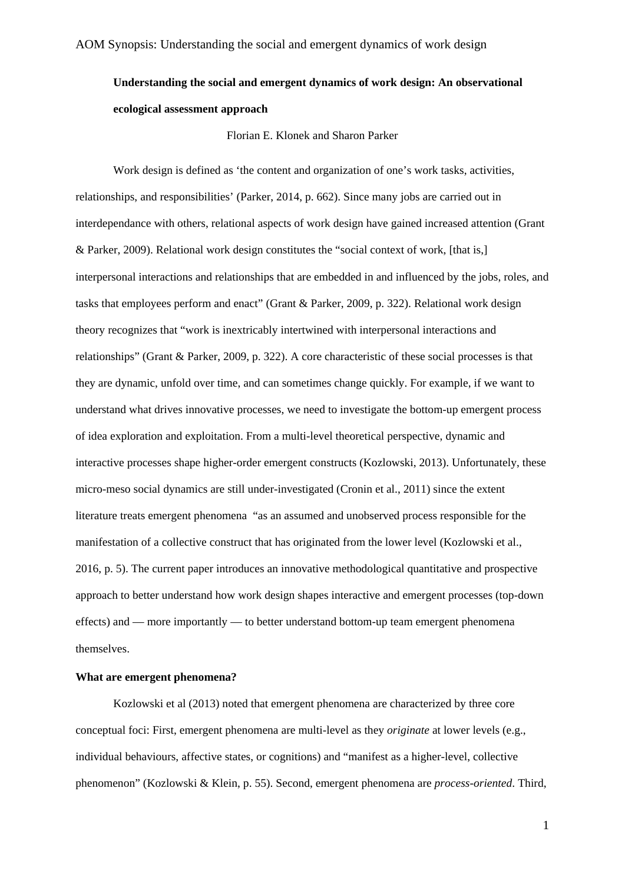# **Understanding the social and emergent dynamics of work design: An observational ecological assessment approach**

Florian E. Klonek and Sharon Parker

Work design is defined as 'the content and organization of one's work tasks, activities, relationships, and responsibilities' (Parker, 2014, p. 662). Since many jobs are carried out in interdependance with others, relational aspects of work design have gained increased attention (Grant & Parker, 2009). Relational work design constitutes the "social context of work, [that is,] interpersonal interactions and relationships that are embedded in and influenced by the jobs, roles, and tasks that employees perform and enact" (Grant & Parker, 2009, p. 322). Relational work design theory recognizes that "work is inextricably intertwined with interpersonal interactions and relationships" (Grant & Parker, 2009, p. 322). A core characteristic of these social processes is that they are dynamic, unfold over time, and can sometimes change quickly. For example, if we want to understand what drives innovative processes, we need to investigate the bottom-up emergent process of idea exploration and exploitation. From a multi-level theoretical perspective, dynamic and interactive processes shape higher-order emergent constructs (Kozlowski, 2013). Unfortunately, these micro-meso social dynamics are still under-investigated (Cronin et al., 2011) since the extent literature treats emergent phenomena "as an assumed and unobserved process responsible for the manifestation of a collective construct that has originated from the lower level (Kozlowski et al., 2016, p. 5). The current paper introduces an innovative methodological quantitative and prospective approach to better understand how work design shapes interactive and emergent processes (top-down effects) and — more importantly — to better understand bottom-up team emergent phenomena themselves.

## **What are emergent phenomena?**

Kozlowski et al (2013) noted that emergent phenomena are characterized by three core conceptual foci: First, emergent phenomena are multi-level as they *originate* at lower levels (e.g., individual behaviours, affective states, or cognitions) and "manifest as a higher-level, collective phenomenon" (Kozlowski & Klein, p. 55). Second, emergent phenomena are *process-oriented*. Third,

1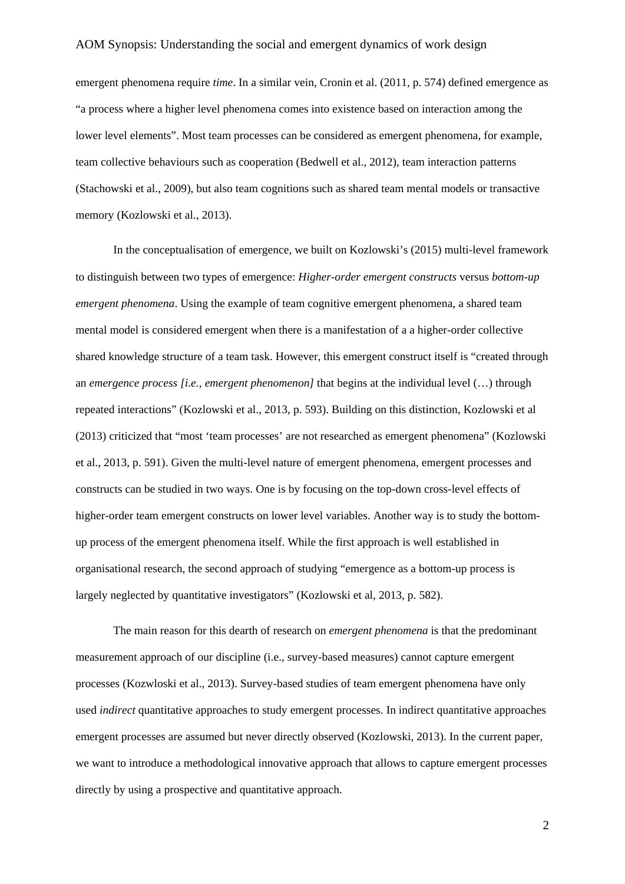### AOM Synopsis: Understanding the social and emergent dynamics of work design

emergent phenomena require *time*. In a similar vein, Cronin et al. (2011, p. 574) defined emergence as "a process where a higher level phenomena comes into existence based on interaction among the lower level elements". Most team processes can be considered as emergent phenomena, for example, team collective behaviours such as cooperation (Bedwell et al., 2012), team interaction patterns (Stachowski et al., 2009), but also team cognitions such as shared team mental models or transactive memory (Kozlowski et al., 2013).

In the conceptualisation of emergence, we built on Kozlowski's (2015) multi-level framework to distinguish between two types of emergence: *Higher-order emergent constructs* versus *bottom-up emergent phenomena*. Using the example of team cognitive emergent phenomena, a shared team mental model is considered emergent when there is a manifestation of a a higher-order collective shared knowledge structure of a team task. However, this emergent construct itself is "created through an *emergence process [i.e., emergent phenomenon]* that begins at the individual level (…) through repeated interactions" (Kozlowski et al., 2013, p. 593). Building on this distinction, Kozlowski et al (2013) criticized that "most 'team processes' are not researched as emergent phenomena" (Kozlowski et al., 2013, p. 591). Given the multi-level nature of emergent phenomena, emergent processes and constructs can be studied in two ways. One is by focusing on the top-down cross-level effects of higher-order team emergent constructs on lower level variables. Another way is to study the bottomup process of the emergent phenomena itself. While the first approach is well established in organisational research, the second approach of studying "emergence as a bottom-up process is largely neglected by quantitative investigators" (Kozlowski et al, 2013, p. 582).

The main reason for this dearth of research on *emergent phenomena* is that the predominant measurement approach of our discipline (i.e., survey-based measures) cannot capture emergent processes (Kozwloski et al., 2013). Survey-based studies of team emergent phenomena have only used *indirect* quantitative approaches to study emergent processes. In indirect quantitative approaches emergent processes are assumed but never directly observed (Kozlowski, 2013). In the current paper, we want to introduce a methodological innovative approach that allows to capture emergent processes directly by using a prospective and quantitative approach.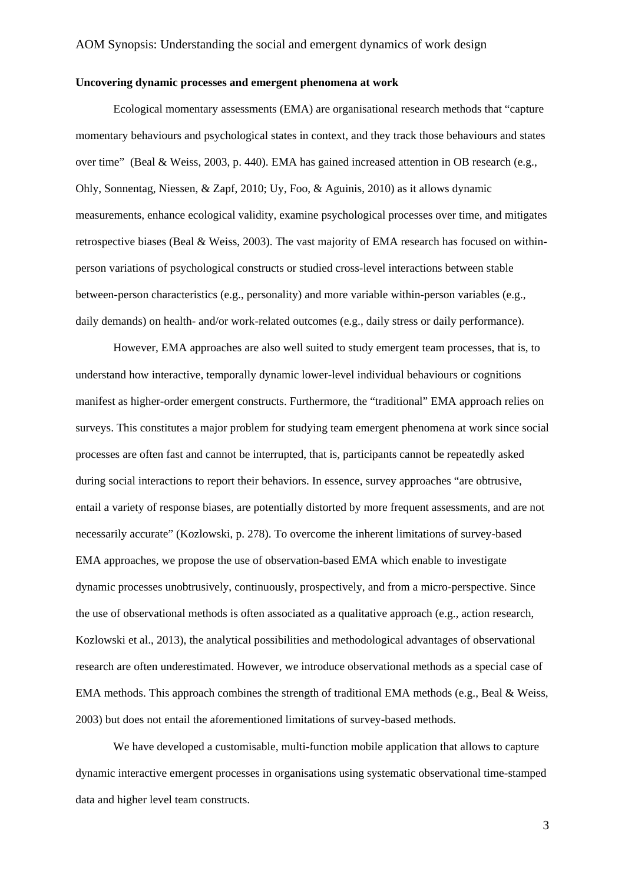#### **Uncovering dynamic processes and emergent phenomena at work**

Ecological momentary assessments (EMA) are organisational research methods that "capture momentary behaviours and psychological states in context, and they track those behaviours and states over time" (Beal & Weiss, 2003, p. 440). EMA has gained increased attention in OB research (e.g., Ohly, Sonnentag, Niessen, & Zapf, 2010; Uy, Foo, & Aguinis, 2010) as it allows dynamic measurements, enhance ecological validity, examine psychological processes over time, and mitigates retrospective biases (Beal & Weiss, 2003). The vast majority of EMA research has focused on withinperson variations of psychological constructs or studied cross-level interactions between stable between-person characteristics (e.g., personality) and more variable within-person variables (e.g., daily demands) on health- and/or work-related outcomes (e.g., daily stress or daily performance).

However, EMA approaches are also well suited to study emergent team processes, that is, to understand how interactive, temporally dynamic lower-level individual behaviours or cognitions manifest as higher-order emergent constructs. Furthermore, the "traditional" EMA approach relies on surveys. This constitutes a major problem for studying team emergent phenomena at work since social processes are often fast and cannot be interrupted, that is, participants cannot be repeatedly asked during social interactions to report their behaviors. In essence, survey approaches "are obtrusive, entail a variety of response biases, are potentially distorted by more frequent assessments, and are not necessarily accurate" (Kozlowski, p. 278). To overcome the inherent limitations of survey-based EMA approaches, we propose the use of observation-based EMA which enable to investigate dynamic processes unobtrusively, continuously, prospectively, and from a micro-perspective. Since the use of observational methods is often associated as a qualitative approach (e.g., action research, Kozlowski et al., 2013), the analytical possibilities and methodological advantages of observational research are often underestimated. However, we introduce observational methods as a special case of EMA methods. This approach combines the strength of traditional EMA methods (e.g., Beal & Weiss, 2003) but does not entail the aforementioned limitations of survey-based methods.

We have developed a customisable, multi-function mobile application that allows to capture dynamic interactive emergent processes in organisations using systematic observational time-stamped data and higher level team constructs.

3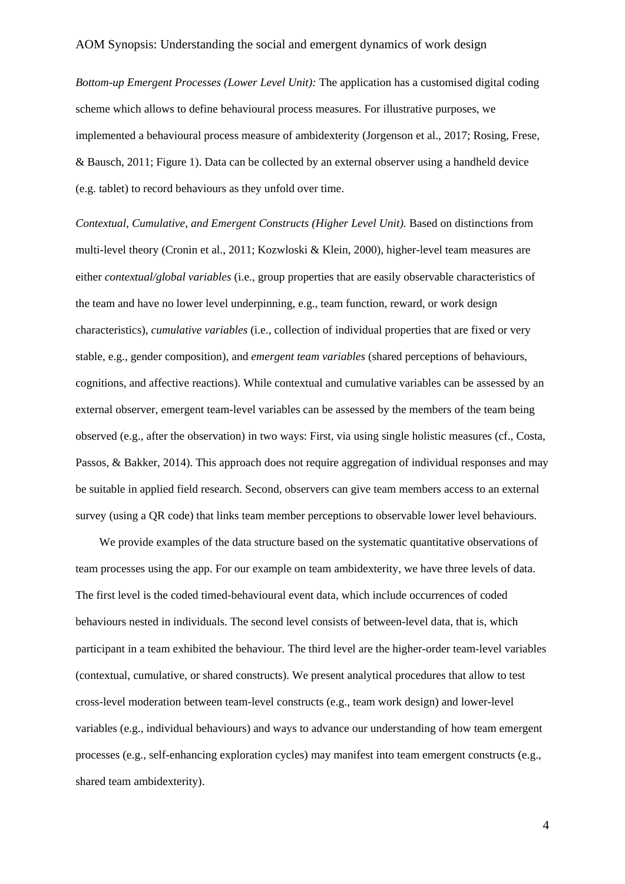*Bottom-up Emergent Processes (Lower Level Unit):* The application has a customised digital coding scheme which allows to define behavioural process measures. For illustrative purposes, we implemented a behavioural process measure of ambidexterity (Jorgenson et al., 2017; Rosing, Frese, & Bausch, 2011; Figure 1). Data can be collected by an external observer using a handheld device (e.g. tablet) to record behaviours as they unfold over time.

*Contextual, Cumulative, and Emergent Constructs (Higher Level Unit).* Based on distinctions from multi-level theory (Cronin et al., 2011; Kozwloski & Klein, 2000), higher-level team measures are either *contextual/global variables* (i.e., group properties that are easily observable characteristics of the team and have no lower level underpinning, e.g., team function, reward, or work design characteristics), *cumulative variables* (i.e., collection of individual properties that are fixed or very stable, e.g., gender composition), and *emergent team variables* (shared perceptions of behaviours, cognitions, and affective reactions). While contextual and cumulative variables can be assessed by an external observer, emergent team-level variables can be assessed by the members of the team being observed (e.g., after the observation) in two ways: First, via using single holistic measures (cf., Costa, Passos, & Bakker, 2014). This approach does not require aggregation of individual responses and may be suitable in applied field research. Second, observers can give team members access to an external survey (using a QR code) that links team member perceptions to observable lower level behaviours.

We provide examples of the data structure based on the systematic quantitative observations of team processes using the app. For our example on team ambidexterity, we have three levels of data. The first level is the coded timed-behavioural event data, which include occurrences of coded behaviours nested in individuals. The second level consists of between-level data, that is, which participant in a team exhibited the behaviour. The third level are the higher-order team-level variables (contextual, cumulative, or shared constructs). We present analytical procedures that allow to test cross-level moderation between team-level constructs (e.g., team work design) and lower-level variables (e.g., individual behaviours) and ways to advance our understanding of how team emergent processes (e.g., self-enhancing exploration cycles) may manifest into team emergent constructs (e.g., shared team ambidexterity).

4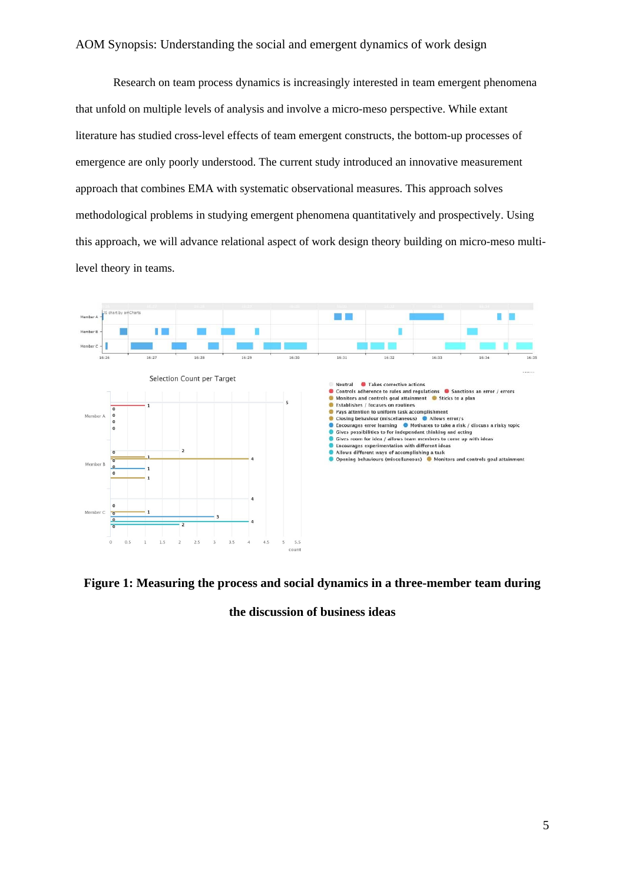## AOM Synopsis: Understanding the social and emergent dynamics of work design

Research on team process dynamics is increasingly interested in team emergent phenomena that unfold on multiple levels of analysis and involve a micro-meso perspective. While extant literature has studied cross-level effects of team emergent constructs, the bottom-up processes of emergence are only poorly understood. The current study introduced an innovative measurement approach that combines EMA with systematic observational measures. This approach solves methodological problems in studying emergent phenomena quantitatively and prospectively. Using this approach, we will advance relational aspect of work design theory building on micro-meso multilevel theory in teams.



**Figure 1: Measuring the process and social dynamics in a three-member team during** 

**the discussion of business ideas**